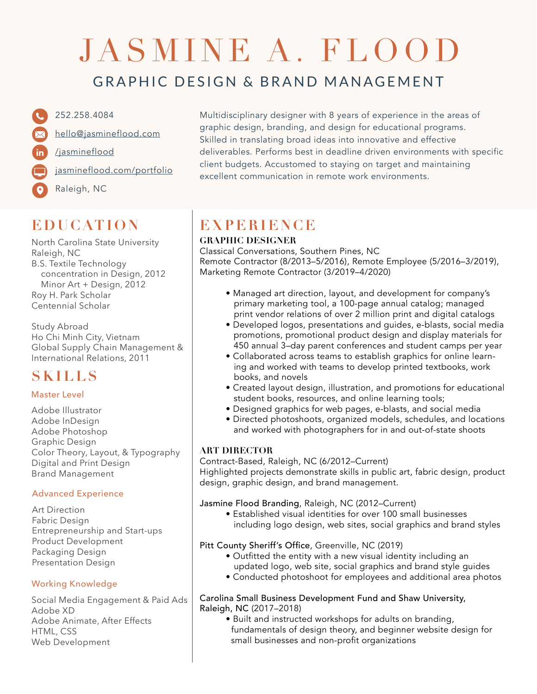# JASMINE A. FLOOD

### GRAPHIC DESIGN & BRAND MANAGEMENT

252.258.4084 [hello@jasmineflood.com](mailto:hello%40jasmineflood.com?subject=Resume%20Inquiry%20) [/jasmineflood](https://www.linkedin.com/in/jasmineflood/) [jasmineflood.com/portfolio](http://jasmineflood.com/portfolio ) Raleigh, NC

# **EDUCATION**

North Carolina State University Raleigh, NC B.S. Textile Technology concentration in Design, 2012 Minor Art + Design, 2012 Roy H. Park Scholar Centennial Scholar

Study Abroad Ho Chi Minh City, Vietnam Global Supply Chain Management & International Relations, 2011

## **SKILLS**

#### Master Level

Adobe Illustrator Adobe InDesign Adobe Photoshop Graphic Design Color Theory, Layout, & Typography Digital and Print Design Brand Management

#### Advanced Experience

Art Direction Fabric Design Entrepreneurship and Start-ups Product Development Packaging Design Presentation Design

#### Working Knowledge

Social Media Engagement & Paid Ads Adobe XD Adobe Animate, After Effects HTML, CSS Web Development

Multidisciplinary designer with 8 years of experience in the areas of graphic design, branding, and design for educational programs. Skilled in translating broad ideas into innovative and effective deliverables. Performs best in deadline driven environments with specific client budgets. Accustomed to staying on target and maintaining excellent communication in remote work environments.

# **EXPERIENCE**

#### **GRAPHIC DESIGNER**

Classical Conversations, Southern Pines, NC Remote Contractor (8/2013–5/2016), Remote Employee (5/2016–3/2019), Marketing Remote Contractor (3/2019–4/2020)

- Managed art direction, layout, and development for company's primary marketing tool, a 100-page annual catalog; managed print vendor relations of over 2 million print and digital catalogs
- Developed logos, presentations and guides, e-blasts, social media promotions, promotional product design and display materials for 450 annual 3–day parent conferences and student camps per year
- Collaborated across teams to establish graphics for online learn ing and worked with teams to develop printed textbooks, work books, and novels
- Created layout design, illustration, and promotions for educational student books, resources, and online learning tools;
- Designed graphics for web pages, e-blasts, and social media
- Directed photoshoots, organized models, schedules, and locations and worked with photographers for in and out-of-state shoots

#### **ART DIRECTOR**

Contract-Based, Raleigh, NC (6/2012–Current) Highlighted projects demonstrate skills in public art, fabric design, product design, graphic design, and brand management.

#### Jasmine Flood Branding, Raleigh, NC (2012–Current)

 • Established visual identities for over 100 small businesses including logo design, web sites, social graphics and brand styles

#### Pitt County Sheriff's Office, Greenville, NC (2019)

- Outfitted the entity with a new visual identity including an updated logo, web site, social graphics and brand style guides
- Conducted photoshoot for employees and additional area photos

#### Carolina Small Business Development Fund and Shaw University, Raleigh, NC (2017–2018)

 • Built and instructed workshops for adults on branding, fundamentals of design theory, and beginner website design for small businesses and non-profit organizations